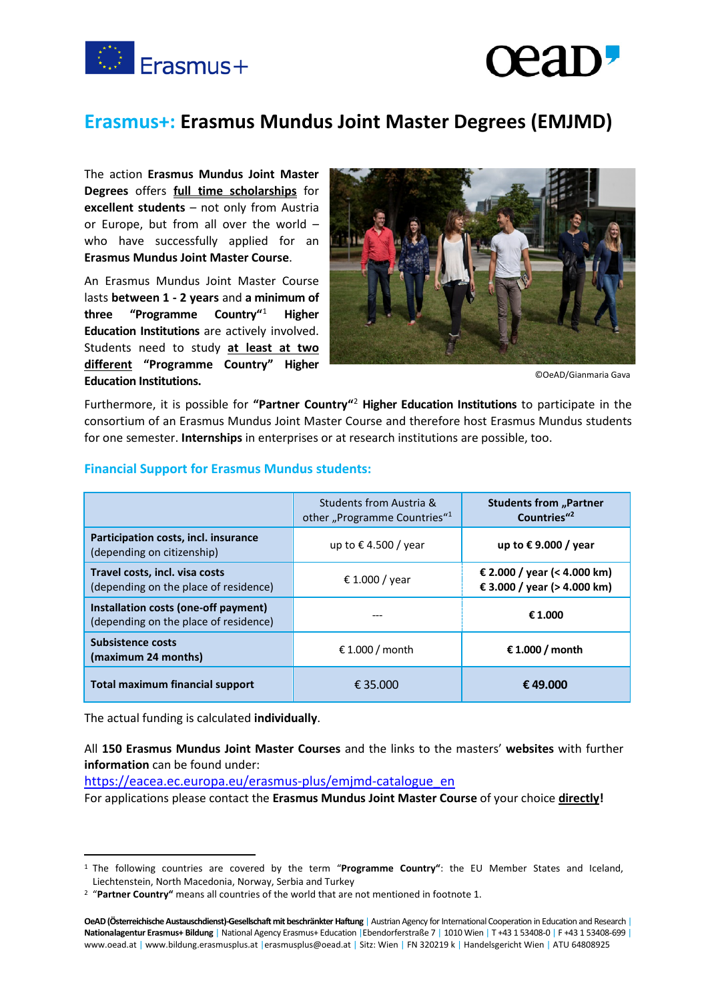

## **Erasmus+: Erasmus Mundus Joint Master Degrees (EMJMD)**

The action **Erasmus Mundus Joint Master Degrees** offers **full time scholarships** for **excellent students** – not only from Austria or Europe, but from all over the world – who have successfully applied for an **Erasmus Mundus Joint Master Course**.

An Erasmus Mundus Joint Master Course lasts **between 1 - 2 years** and **a minimum of three "Programme Country"**[1](#page-0-0) **Higher Education Institutions** are actively involved. Students need to study **at least at two different "Programme Country" Higher Education Institutions.**



©OeAD/Gianmaria Gava

Furthermore, it is possible for **"Partner Country"**[2](#page-0-1) **Higher Education Institutions** to participate in the consortium of an Erasmus Mundus Joint Master Course and therefore host Erasmus Mundus students for one semester. **Internships** in enterprises or at research institutions are possible, too.

|                                                                               | Students from Austria &<br>other "Programme Countries" <sup>1</sup> | <b>Students from "Partner</b><br>Countries" <sup>2</sup>   |
|-------------------------------------------------------------------------------|---------------------------------------------------------------------|------------------------------------------------------------|
| Participation costs, incl. insurance<br>(depending on citizenship)            | up to €4.500 / year                                                 | up to €9.000 / year                                        |
| Travel costs, incl. visa costs<br>(depending on the place of residence)       | € 1.000 / year                                                      | € 2.000 / year (< 4.000 km)<br>€ 3.000 / year (> 4.000 km) |
| Installation costs (one-off payment)<br>(depending on the place of residence) |                                                                     | € 1.000                                                    |
| <b>Subsistence costs</b><br>(maximum 24 months)                               | € 1.000 / month                                                     | € 1.000 / month                                            |
| <b>Total maximum financial support</b>                                        | € 35.000                                                            | €49.000                                                    |

## **Financial Support for Erasmus Mundus students:**

The actual funding is calculated **individually**.

All **150 Erasmus Mundus Joint Master Courses** and the links to the masters' **websites** with further **information** can be found under:

[https://eacea.ec.europa.eu/erasmus-plus/emjmd-catalogue\\_en](https://eacea.ec.europa.eu/erasmus-plus/emjmd-catalogue_en)

For applications please contact the **Erasmus Mundus Joint Master Course** of your choice **directly!**

<span id="page-0-0"></span><sup>1</sup> The following countries are covered by the term "**Programme Country"**: the EU Member States and Iceland, Liechtenstein, North Macedonia, Norway, Serbia and Turkey

<span id="page-0-1"></span><sup>2</sup> "**Partner Country"** means all countries of the world that are not mentioned in footnote 1.

**OeAD (Österreichische Austauschdienst)-Gesellschaft mit beschränkter Haftung** | Austrian Agency for International Cooperation in Education and Research | **Nationalagentur Erasmus+ Bildung** | National Agency Erasmus+ Education |Ebendorferstraße 7 | 1010 Wien | T +43 1 53408-0 | F +43 1 53408-699 | www.oead.at | www.bildung.erasmusplus.at |erasmusplus@oead.at | Sitz: Wien | FN 320219 k | Handelsgericht Wien | ATU 64808925